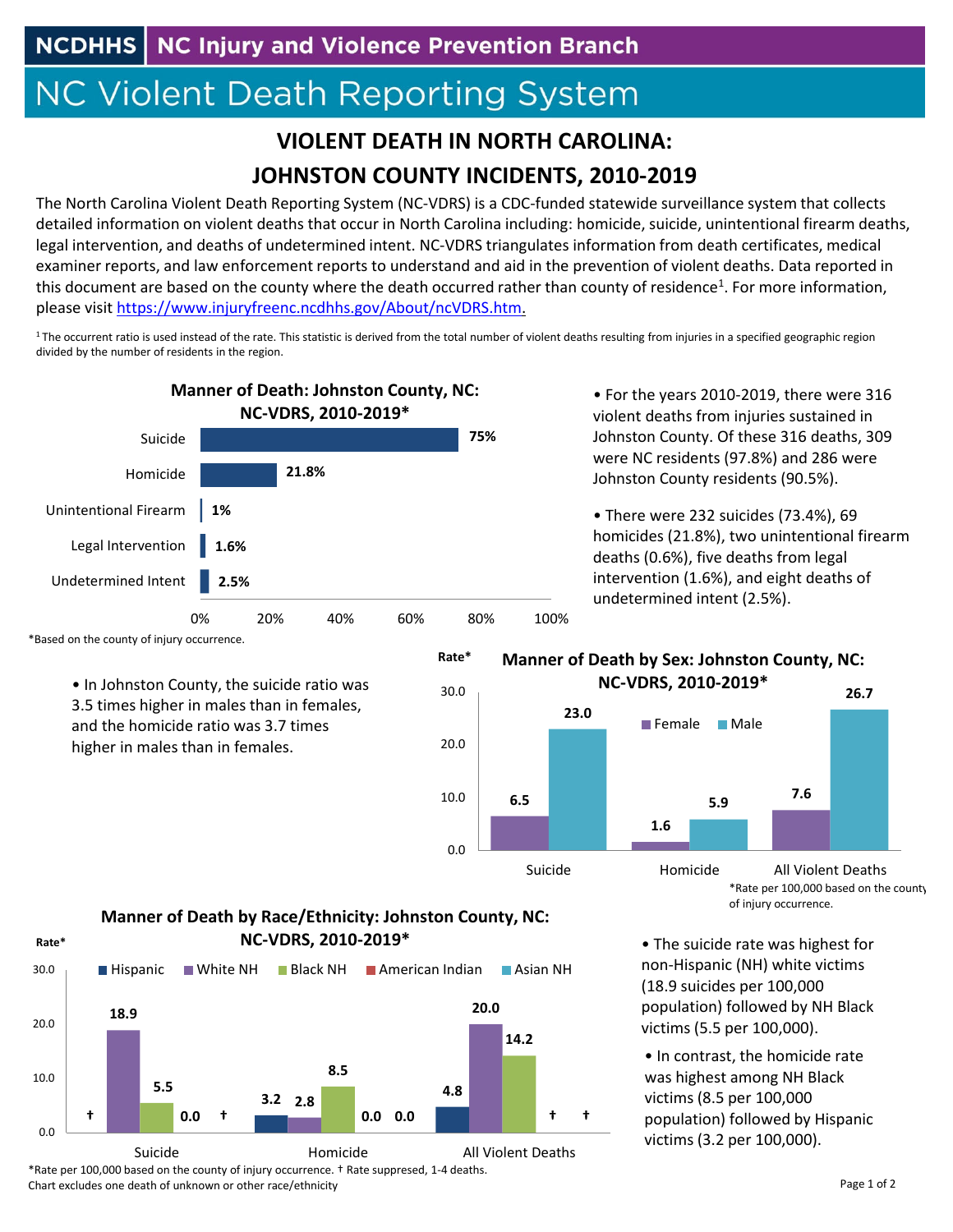## **NC Violent Death Reporting System**

## **VIOLENT DEATH IN NORTH CAROLINA: JOHNSTON COUNTY INCIDENTS, 2010‐2019**

The North Carolina Violent Death Reporting System (NC‐VDRS) is a CDC‐funded statewide surveillance system that collects detailed information on violent deaths that occur in North Carolina including: homicide, suicide, unintentional firearm deaths, legal intervention, and deaths of undetermined intent. NC‐VDRS triangulates information from death certificates, medical examiner reports, and law enforcement reports to understand and aid in the prevention of violent deaths. Data reported in this document are based on the county where the death occurred rather than county of residence<sup>1</sup>. For more information, please visit https://www.injuryfreenc.ncdhhs.gov/About/ncVDRS.htm.

 $1$ The occurrent ratio is used instead of the rate. This statistic is derived from the total number of violent deaths resulting from injuries in a specified geographic region divided by the number of residents in the region.

0.0

10.0

20.0

30.0

**Rate\***



\*Based on the county of injury occurrence.

• In Johnston County, the suicide ratio was 3.5 times higher in males than in females, and the homicide ratio was 3.7 times higher in males than in females.

• For the years 2010‐2019, there were 316 violent deaths from injuries sustained in Johnston County. Of these 316 deaths, 309 were NC residents (97.8%) and 286 were Johnston County residents (90.5%).

• There were 232 suicides (73.4%), 69 homicides (21.8%), two unintentional firearm deaths (0.6%), five deaths from legal intervention (1.6%), and eight deaths of undetermined intent (2.5%).

## **Manner of Death by Sex: Johnston County, NC: NC‐VDRS, 2010‐2019\***



\*Rate per 100,000 based on the county of injury occurrence.

• The suicide rate was highest for non‐Hispanic (NH) white victims (18.9 suicides per 100,000 population) followed by NH Black victims (5.5 per 100,000).

• In contrast, the homicide rate was highest among NH Black victims (8.5 per 100,000 population) followed by Hispanic victims (3.2 per 100,000).

## **Manner of Death by Race/Ethnicity: Johnston County, NC: Rate\* NC‐VDRS, 2010‐2019\***



\*Rate per 100,000 based on the county of injury occurrence. † Rate suppresed, 1‐4 deaths. Chart excludes one death of unknown or other race/ethnicity